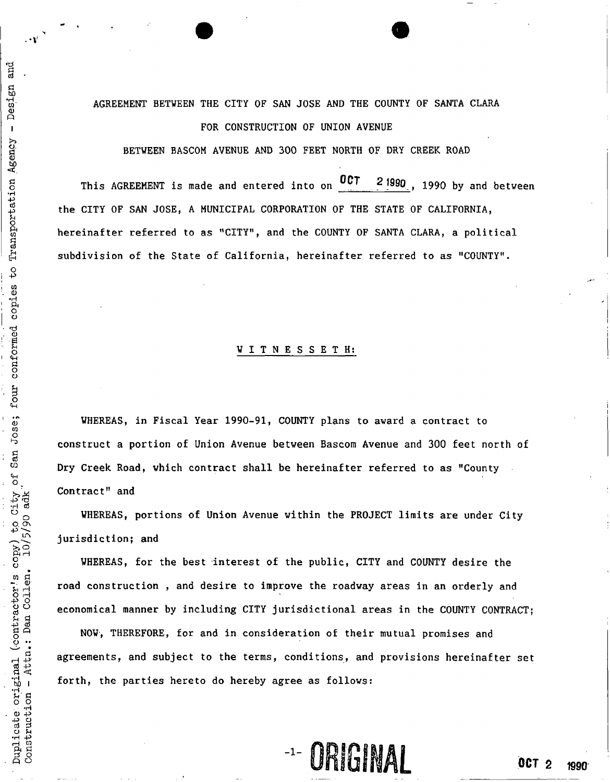# AGREEMENT BETWEEN THE CITY OF SAN JOSE AND THE COUNTY OF SANTA CLARA i FOR CONSTRUCTION OF UNION AVENUE

BETWEEN BASCOM AVENUE AND 300 FEET NORTH OF DRY CREEK ROAD

g This AGREEMENT is made and entered into on 2 1990, 1990 by and between •H """""""""\*-~—~~— p the CITY OF SAN JOSE, A MUNICIPAL CORPORATION OF THE STATE OF CALIFORNIA, hereinafter referred to as "CITY", and the COUNTY OF SANTA CLARA, a political subdivision of the State of California, hereinafter referred to as "COUNTY".

### | WITNESSETH :

WHEREAS, in Fiscal Year 1990-91, COUNTY plans to award a contract to ^ construct a portion of Union Avenue between Bascom Avenue and 300 feet north of Dry Creek Road, which contract shall be hereinafter referred to as "County Contract" and

WHEREAS, portions of Union Avenue within the PROJECT limits are under City  $\mathfrak{so}$   $\infty$ jurisdiction; and

WHEREAS, for the best interest of the public, CITY and COUNTY desire the  $\mathbf{g}$  where  $\mathbf{g}$ economical manner by including CITY jurisdictional areas in the COUNTY CONTRACT;

road construction , and desire to improve the roadway areas in an orderly and<br>economical manner by including CITY jurisdictional areas in the COUNTY CONTRA<br>NOW, THEREFORE, for and in consideration of their mutual promises NOW, THEREFORE, for and in consideration of their mutual promises and agreements, and subject to the terms, conditions, and provisions hereinafter set forth, the parties hereto do hereby agree as follows:

**1- ORIGINAL 0CT 2** 1990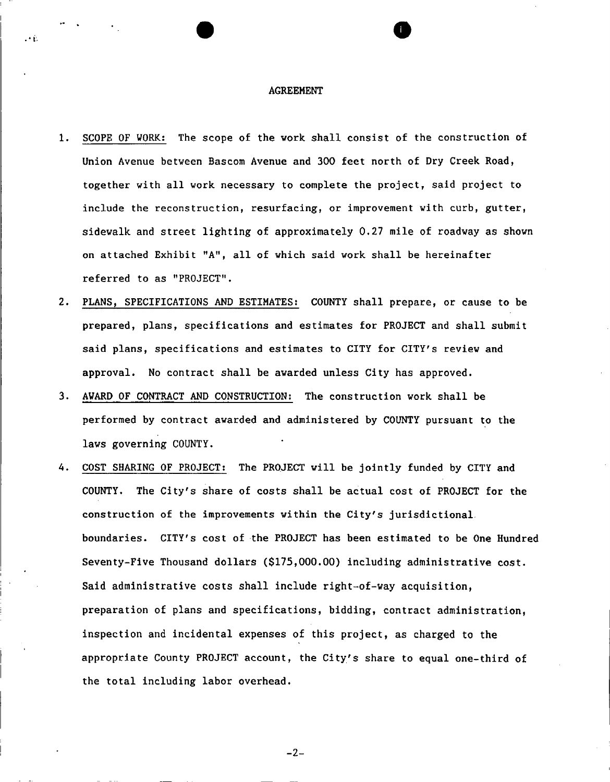### AGREEMENT

- 1. SCOPE OF WORK: The scope of the work shall consist of the construction of Union Avenue between Bascom Avenue and 300 feet north of Dry Greek Road, together with all work necessary to complete the project, said project to include the reconstruction, resurfacing, or improvement with curb, gutter, sidewalk and street lighting of approximately 0.27 mile of roadway as shown on attached Exhibit "A", all of which said work shall be hereinafter referred to as "PROJECT".
- 2. PLANS, SPECIFICATIONS AND ESTIMATES: COUNTY shall prepare, or cause to be prepared, plans, specifications and estimates for PROJECT and shall submit said plans, specifications and estimates to CITY for CITY's review and approval. No contract shall be awarded unless City has approved.
- 3. AWARD OF CONTRACT AND CONSTRUCTION: The construction work shall be performed by contract awarded and administered by COUNTY pursuant to the laws governing COUNTY.
- 4. COST SHARING OF PROJECT: The PROJECT will be jointly funded by CITY and COUNTY. The City's share of costs shall be actual cost of PROJECT for the construction of the improvements within the City's jurisdictional boundaries. CITY's cost of the PROJECT has been estimated to be One Hundred Seventy-Five Thousand dollars (\$175,000.00) including administrative cost. Said administrative costs shall include right-of-way acquisition, preparation of plans and specifications, bidding, contract administration, inspection and incidental expenses of this project, as charged to the appropriate County PROJECT account, the City's share to equal one-third of the total including labor overhead.

 $-2-$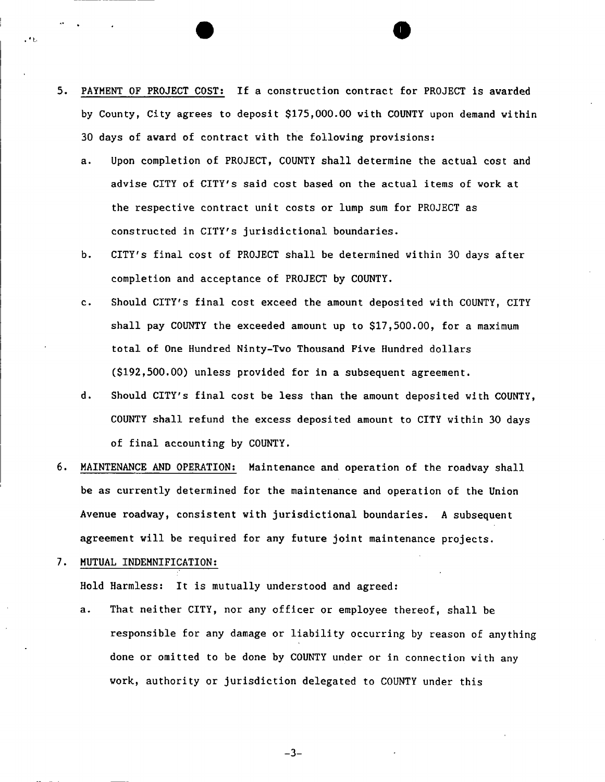5. PAYMENT OF PROJECT COST: If a construction contract for PROJECT is awarded by County, City agrees to deposit \$175,000.00 with COUNTY upon demand within 30 days of award of contract with the following provisions:

**• ®** 

- a. Upon completion of PROJECT, COUNTY shall determine the actual cost and advise CITY of CITY'S said cost based on the actual items of work at the respective contract unit costs or lump sum for PROJECT as constructed in CITY'S jurisdictional boundaries.
- b. CITY's final cost of PROJECT shall be determined within 30 days after completion and acceptance of PROJECT by COUNTY.
- c. Should CITY'S final cost exceed the amount deposited with COUNTY, CITY shall pay COUNTY the exceeded amount up to \$17,500.00, for a maximum total of One Hundred Ninty-Two Thousand Five Hundred dollars (\$192,500.00) unless provided for in a subsequent agreement.
- d. Should CITY'S final cost be less than the amount deposited with COUNTY, COUNTY shall refund the excess deposited amount to CITY within 30 days of final accounting by COUNTY.
- 6. MAINTENANCE AND OPERATION; Maintenance and operation of the roadway shall be as currently determined for the maintenance and operation of the Union Avenue roadway, consistent with jurisdictional boundaries. A subsequent agreement will be required for any future joint maintenance projects.
- 7. MUTUAL INDEMNIFICATION:

Hold Harmless: It is mutually understood and agreed:

a. That neither CITY, nor any officer or employee thereof, shall be responsible for any damage or liability occurring by reason of anything done or omitted to be done by COUNTY under or in connection with any work, authority or jurisdiction delegated to COUNTY under this

 $-3-$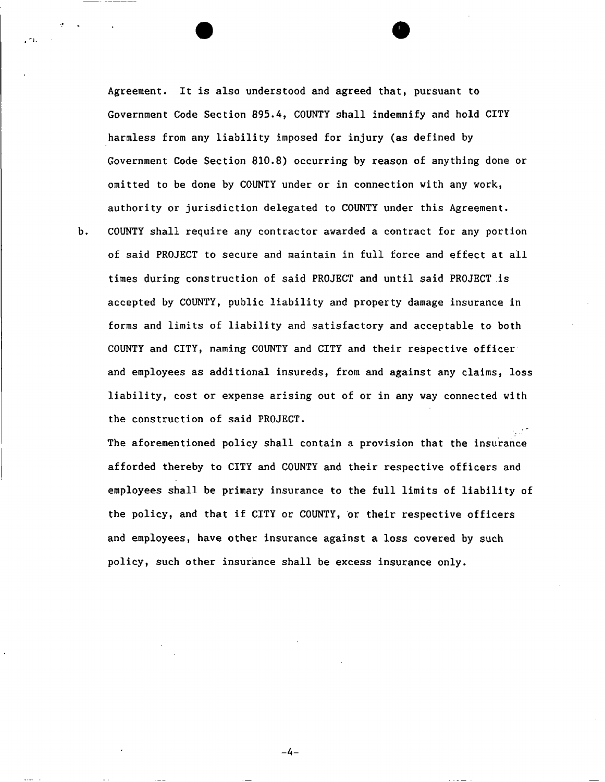Agreement. It is also understood and agreed that, pursuant to Government Code Section 895.4, COUNTY shall indemnify and hold CITY harmless from any liability imposed for injury (as defined by Government Code Section 810.8) occurring by reason of anything done or omitted to be done by COUNTY under or in connection with any work, authority or jurisdiction delegated to COUNTY under this Agreement,

b. COUNTY shall require any contractor awarded a contract for any portion of said PROJECT to secure and maintain in full force and effect at all times during construction of said PROJECT and until said PROJECT is accepted by COUNTY, public liability and property damage insurance in forms and limits of liability and satisfactory and acceptable to both COUNTY and CITY, naming COUNTY and CITY and their respective officer and employees as additional insureds, from and against any claims, loss liability, cost or expense arising out of or in any way connected with the construction of said PROJECT.

The aforementioned policy shall contain a provision that the insurance afforded thereby to CITY and COUNTY and their respective officers and employees shall be primary insurance to the full limits of liability of the policy, and that if CITY or COUNTY, or their respective officers and employees, have other insurance against a loss covered by such policy, such other insurance shall be excess insurance only.

 $-4-$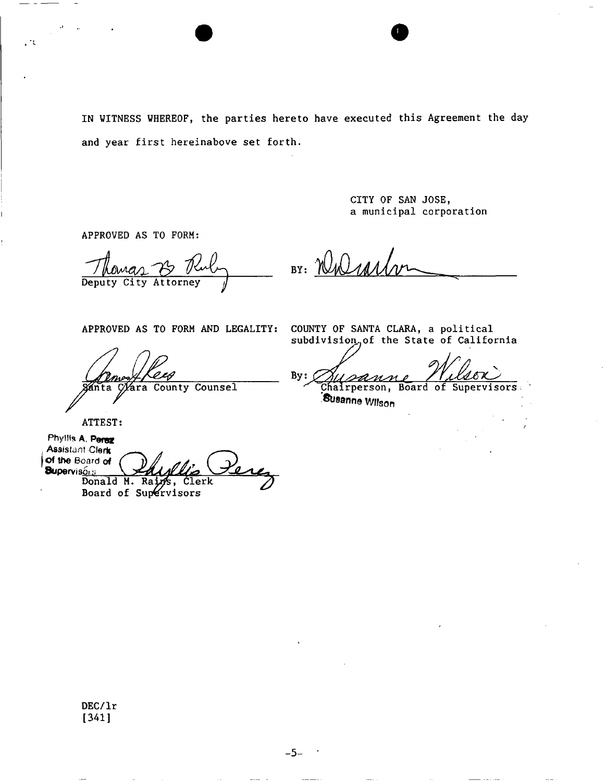IN WITNESS WHEREOF, the parties hereto have executed this Agreement the day and year first hereinabove set forth.

> CITY OF SAN JOSE, a municipal corporation

APPROVED AS TO FORM:

*jUL*  Deputy City Attorney

BY: NWar

APPROVED AS TO FORM AND LEGALITY: COUNTY OF SANTA CLARA, a political

m ánta

Clara County Counsel

subdivision<sub>o</sub>of the State of California

 $By:$ Chairperson, Board of Supervisors

Susanna Wlfson

ATTEST:

**Phyllis A. Perez Assistant Clerk Supervisors**<br>**Supervisors**<br>**Donald M. Raints, Clerk** Donald M. Rains, Board of Supervisors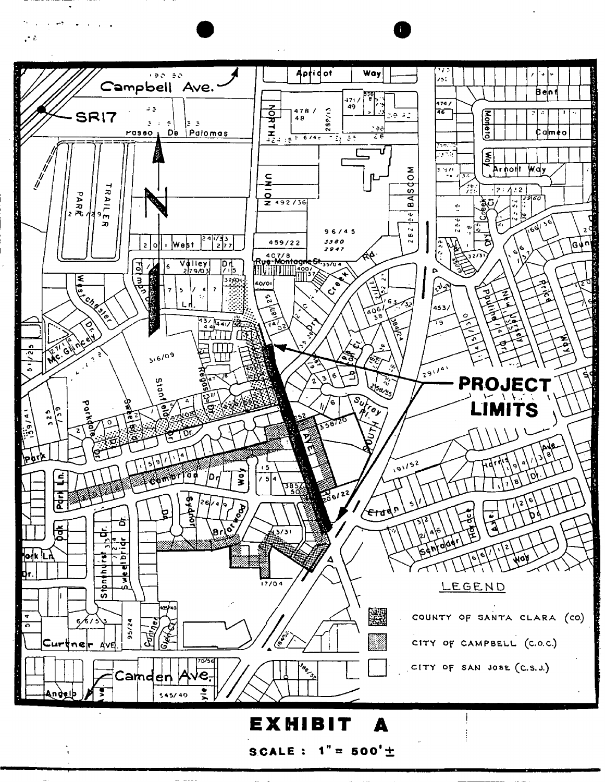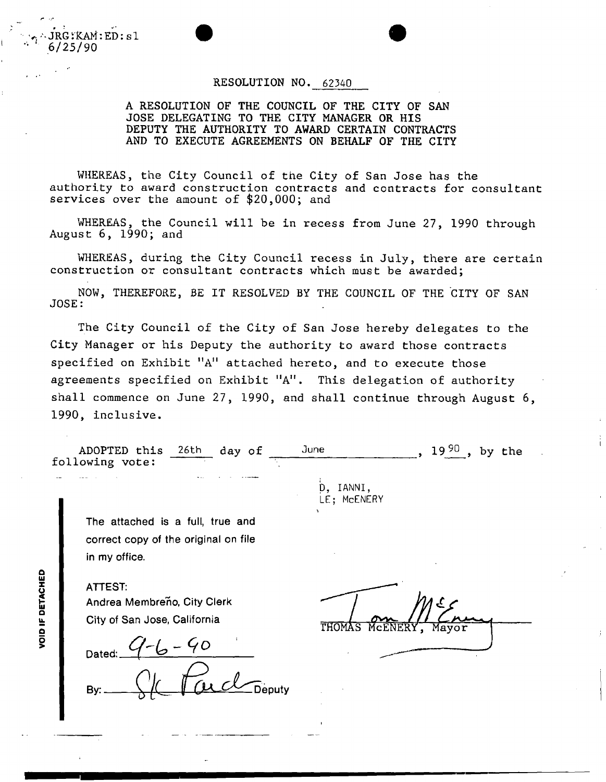**RESOLUTION NO. 62340** 

**A RESOLUTION OF THE COUNCIL OF THE CITY OF SAN JOSE DELEGATING TO THE CITY MANAGER OR HIS DEPUTY THE AUTHORITY TO AWARD CERTAIN CONTRACTS AND TO EXECUTE AGREEMENTS ON BEHALF OF THE CITY** 

**WHEREAS, the City Council of the City of San Jose has the authority to award construction contracts and contracts for consultant services over the amount of \$20,000; and** 

**WHEREAS, the Council will be in recess from June 27, 1990 through August 6, 1990; and** 

**WHEREAS, during the City Council recess in July, there are certain construction or consultant contracts which must be awarded;** 

**NOW, THEREFORE, BE IT RESOLVED BY THE COUNCIL OF THE CITY OF SAN JOSE:** 

**The City Council of the City of San Jose hereby delegates to the City Manager or his Deputy the authority to award those contracts specified on Exhibit "A" attached hereto, and to execute those agreements specified on Exhibit <sup>n</sup> A". This delegation of authority shall commence on June 27, 1990, and shall continue through August 6, 1990, inclusive.** 

**ADOPTED this** 26th **day of June > 19 19<sup>90</sup>, by the following vote:** 

**The attached is a full, true and correct copy of the original on file in my office.** 

**ATTEST:**  Andrea Membreno, City Clerk **City of San Jose, California** 

**Dated:** 

**By:** 

THOMAS

**D, IANNI, LE; McENERY** 

**VOID IF DETACHED** 

**JRG.KAM:ED:s1** 

**6/25/90**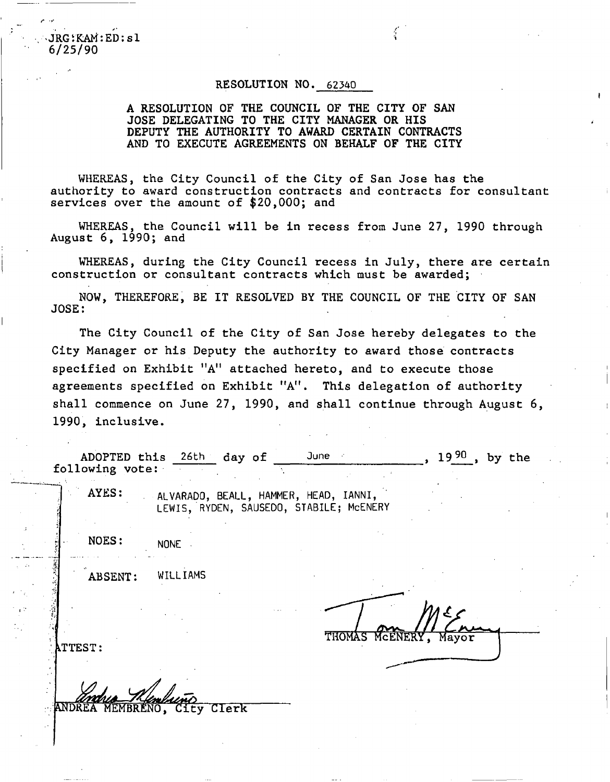JRG:KAM:ED:sl  $6/25/90$ 

### **RESOLUTION NO, 62340**

*'i* 

### **A RESOLUTION OF THE COUNCIL OF THE CITY OF SAN JOSE DELEGATING TO THE CITY MANAGER OR HIS DEPUTY THE AUTHORITY TO AWARD CERTAIN CONTRACTS AND TO EXECUTE AGREEMENTS ON BEHALF OF THE CITY**

**WHEREAS, the City Council of the City of San Jose has the authority to award construction contracts and contracts for consultant services over the amount of \$20,000; and** 

**WHEREAS, the Council will be in recess from June 27, 1990 through August 6, 1990; and** 

**WHEREAS, during the City Council recess in July, there are certain construction or consultant contracts which must be awarded;** 

**NOW, THEREFORE, BE IT RESOLVED BY THE COUNCIL OF THE CITY OF SAN JOSE:** 

**The City Council of the City of San Jose hereby delegates to the City Manager or his Deputy the authority to award those contracts specified on Exhibit "A<sup>M</sup> attached hereto, and to execute those agreements specified on Exhibit "A". This delegation of authority shall commence on June 27, 1990, and shall continue through August 6, 1990, inclusive.** 

| following vote: | ADOPTED this 26th day of                                                         | June -                | 1990.<br>by the |
|-----------------|----------------------------------------------------------------------------------|-----------------------|-----------------|
| AYES:           | ALVARADO, BEALL, HAMMER, HEAD, IANNI,<br>LEWIS, RYDEN, SAUSEDO, STABILE; MCENERY |                       |                 |
| NOES:           | <b>NONE</b>                                                                      |                       |                 |
| ABSENT:         | WILLIAMS                                                                         |                       |                 |
| <b>ATTEST:</b>  |                                                                                  | THOMAS MCENERY, Mayor |                 |
|                 | ANDREA MEMBRENO, City Clerk                                                      |                       |                 |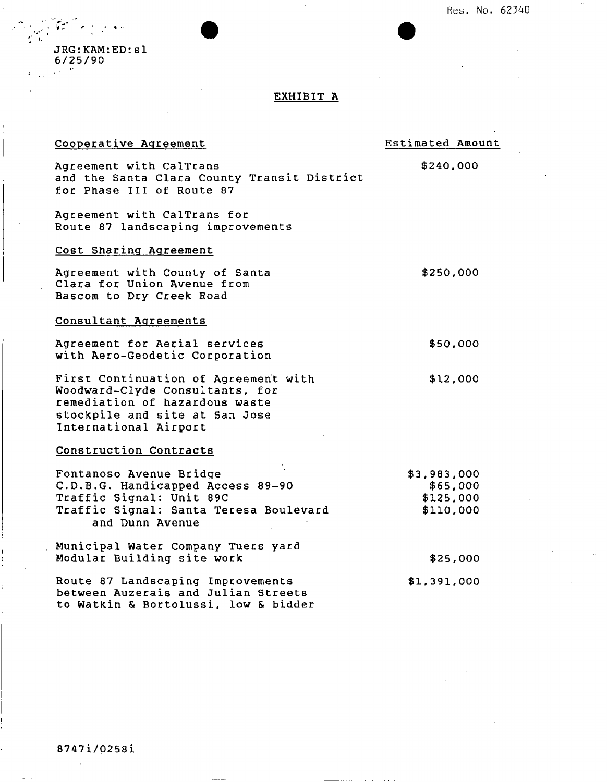**Res. No. 62340** 

J RG:KAM:ED:s1 6/25/90

», •

*t* 

 $\frac{1}{1}$ 

## EXHIBIT A

| Cooperative Agreement                                                                                                                                                | Estimated Amount                                  |
|----------------------------------------------------------------------------------------------------------------------------------------------------------------------|---------------------------------------------------|
| Agreement with CalTrans<br>and the Santa Clara County Transit District<br>for Phase III of Route 87                                                                  | \$240,000                                         |
| Agreement with CalTrans for<br>Route 87 landscaping improvements                                                                                                     |                                                   |
| Cost Sharing Agreement                                                                                                                                               |                                                   |
| Agreement with County of Santa<br>Clara for Union Avenue from<br>Bascom to Dry Creek Road                                                                            | \$250,000                                         |
| Consultant Agreements                                                                                                                                                |                                                   |
| Agreement for Aerial services<br>with Aero-Geodetic Corporation                                                                                                      | \$50,000                                          |
| First Continuation of Agreement with<br>Woodward-Clyde Consultants, for<br>remediation of hazardous waste<br>stockpile and site at San Jose<br>International Airport | \$12,000                                          |
| Construction Contracts                                                                                                                                               |                                                   |
| Fontanoso Avenue Bridge<br>C.D.B.G. Handicapped Access 89-90<br>Traffic Signal: Unit 89C<br>Traffic Signal: Santa Teresa Boulevard<br>and Dunn Avenue                | \$3,983,000<br>\$65,000<br>\$125,000<br>\$110,000 |
| Municipal Water Company Tuers yard<br>Modular Building site work                                                                                                     | \$25,000                                          |
| Route 87 Landscaping Improvements<br>between Auzerais and Julian Streets<br>to Watkin & Bortolussi, low & bidder                                                     | \$1,391,000                                       |

 $\bar{1}$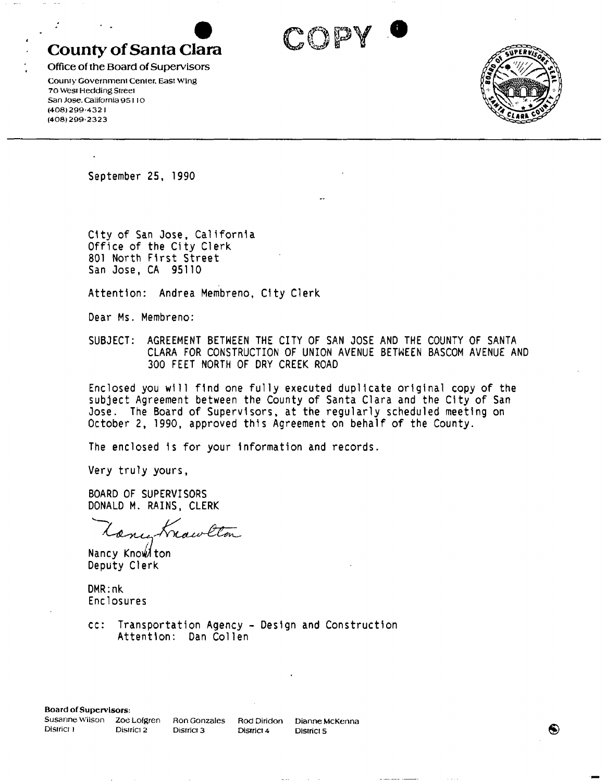# **County of Santa Clara**

Office of the Board of Supervisors **County Government Center, East Wing 70 West Hedding Street San Jose. California 95110 (408)299-432 I (408)299-2323** 



**September 25, 1990** 

**City of San Jose, California Office of the City Clerk 801 North First Street San Jose, CA 95110** 

**Attention: Andrea Membreno, City Clerk** 

**Dear Ms. Membreno:** 

**SUBJECT: AGREEMENT BETWEEN THE CITY OF SAN JOSE AND THE COUNTY OF SANTA CLARA FOR CONSTRUCTION OF UNION AVENUE BETWEEN BASCOM AVENUE AND 300 FEET NORTH OF DRY CREEK ROAD** 

**COPY** 

**Enclosed you will find one fully executed duplicate original copy of the subject Agreement between the County of Santa Clara and the City of San Jose. The Board of Supervisors, at the regularly scheduled meeting on October 2, 1990, approved this Agreement on behalf of the County.** 

**The enclosed is for your information and records.** 

**Very truly yours,** 

**BOARD OF SUPERVISORS DONALD M. RAINS, CLERK** 

Frawlton Conce

Nancy Know ton **Deputy Clerk** 

**DMR:nk Enclosures** 

**cc: Transportation Agency - Design and Construction**  Attention: Dan Collen

Board of Supervisors:

**District 1** District 2 District 3 District 4 District 5

**Susanne Wilson Zoe Lofgren Ron Gonzales Rod Diridon Dianne McKenna** 

❸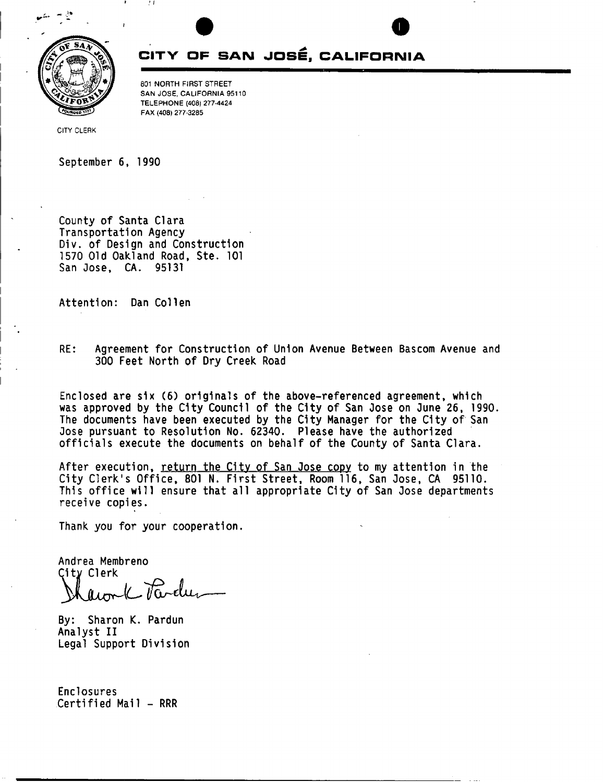

# **CITY OF SAN JOSE, CALIFORNIA**

801 NORTH FIRST STREET SAN JOSE, CALIFORNIA 95110 TELEPHONE (408) 277-4424 FAX (408) 277-3285

CITY CLERK

**September 6, 1990** 

**County of Santa Clara Transportation Agency Div. of Design and Construction 1570 Old Oakland Road, Ste. 101 San Jose, CA. 95131** 

*! I* 

Attention: Dan Collen

**RE: Agreement for Construction of Union Avenue Between Bascom Avenue and 300 Feet North of Dry Creek Road** 

**Enclosed are six (6) originals of the above-referenced agreement, which was approved by the City Council of the City of San Jose on June 26, 1990. The documents have been executed by the City Manager for the City of San Jose pursuant to Resolution No. 62340. Please have the authorized officials execute the documents on behalf of the County of Santa Clara.** 

**After execution, return the Citv of San Jose copy to my attention in the City Clerk's Office, 801 N. First Street, Room 116, San Jose, CA 95110. This office will ensure that all appropriate City of San Jose departments receive copies.** 

**Thank you for your cooperation.** 

**Andrea Membreno**  City Clerk - Pa-elu fuor

**By: Sharon K. Pardun Analyst II Legal Support Division** 

**Enclosures Certified Mail - RRR**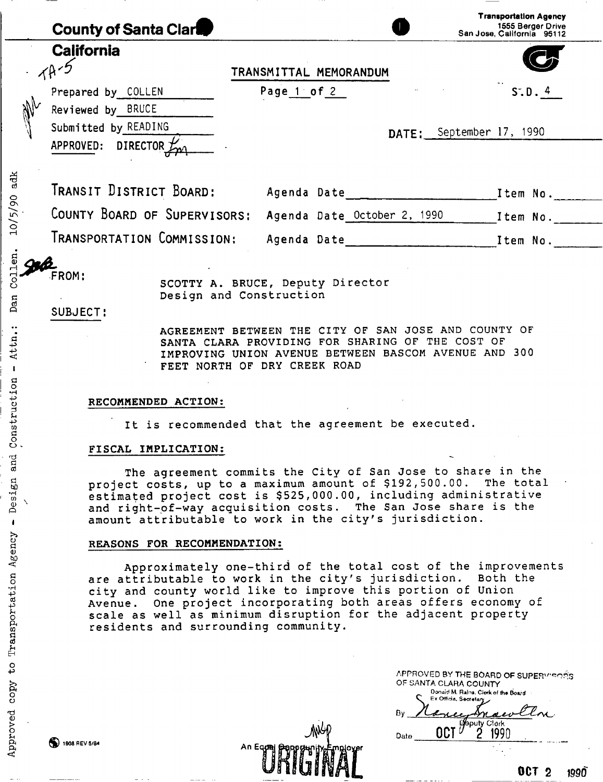| <b>County of Santa Clare</b>                               |             |                             |                          | <b>Transportation Agency</b><br>1555 Berger Drive<br>San Jose, California 95112 |
|------------------------------------------------------------|-------------|-----------------------------|--------------------------|---------------------------------------------------------------------------------|
| <b>California</b>                                          |             | TRANSMITTAL MEMORANDUM      |                          |                                                                                 |
| Prepared by COLLEN<br>M<br>Reviewed by BRUCE               | Page 1 of 2 |                             |                          | S.D.4                                                                           |
| Submitted by READING<br>APPROVED:<br>DIRECTOR $L_{\gamma}$ |             |                             | DATE: September 17, 1990 |                                                                                 |
| TRANSIT DISTRICT BOARD:                                    |             | Agenda Date                 |                          | Item No.                                                                        |
| COUNTY BOARD OF SUPERVISORS:                               |             | Agenda Date October 2, 1990 |                          | Item No.                                                                        |
| TRANSPORTATION COMMISSION:                                 |             | Agenda Date                 |                          | Item No.                                                                        |

SCOTTY A. BRUCE, Deputy Director Design and Construction

**SUBJECT:** 

10/5/90 adk

Dan Collen.

Attn.:

 $\,$  I

c **o**  •H P *O* 

 $\cos t$ 

 $\circ$  $\vec{a}$ 03

Design<br>
1

**o a**  <d

 $\mathbf{I}$ 

**W)** 

**o** 

**o** Transport

copy

ti 0) > **o**  *f-i* ft

AGREEMENT BETWEEN THE CITY OF SAN JOSE AND COUNTY OF SANTA CLARA PROVIDING FOR SHARING OF THE COST OF IMPROVING UNION AVENUE BETWEEN BASCOM AVENUE AND 300 FEET NORTH OF DRY CREEK ROAD

### RECOMMENDED ACTION:

It is recommended that the agreement be executed.

### FISCAL IMPLICATION:

The agreement commits the City of San Jose to share in the<br>ct costs, up to a maximum amount of \$192,500.00. The total project costs, up to a maximum amount of \$192,500.00. estimated project cost is \$525,000.00, including administrative and right-of-way acquisition costs. The San Jose share is the amount attributable to work in the city's jurisdiction.

#### REASONS FOR RECOMMENDATION:

Approximately one-third of the total cost of the improvements are attributable to work in the city's jurisdiction. Both the city and county world like to improve this portion of Union Avenue. One project incorporating both areas offers economy of scale as well as minimum disruption for the adjacent property residents and surrounding community.

| APPROVED BY THE BOARD OF SUPERVISORS |
|--------------------------------------|
| OF SANTA CLARA COUNTY                |
| Donald M. Rains, Clork of the Board  |
| Ex Officia, Secretary                |
| Bν                                   |
| Clerk                                |
| Date                                 |
|                                      |
|                                      |